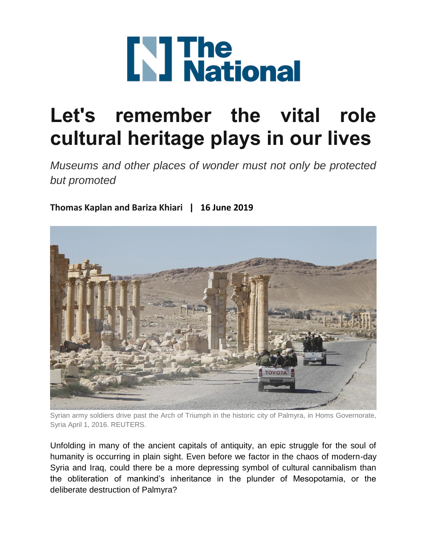

## **Let's remember the vital role cultural heritage plays in our lives**

*Museums and other places of wonder must not only be protected but promoted*

**[Thomas Kaplan and Bariza Khiari](https://www.thenational.ae/topics/Author/Thomas%20Kaplan%20and%20Bariza%20Khiari) | 16 June 2019**



Syrian army soldiers drive past the Arch of Triumph in the historic city of Palmyra, in Homs Governorate, Syria April 1, 2016. REUTERS.

Unfolding in many of the ancient capitals of antiquity, an epic struggle for the soul of humanity is occurring in plain sight. Even before we factor in the chaos of modern-day Syria and Iraq, could there be a more depressing symbol of cultural cannibalism than the obliteration of mankind's inheritance in the plunder of Mesopotamia, or the deliberate destruction of Palmyra?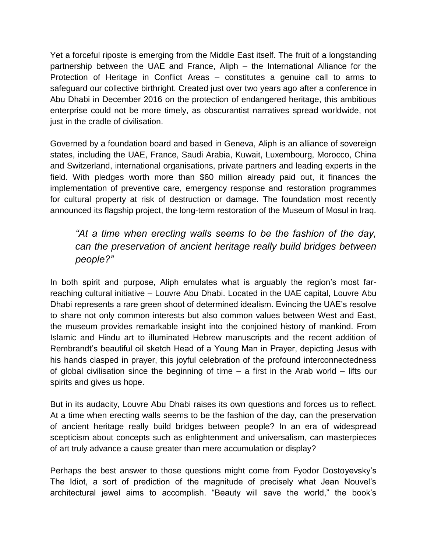Yet a forceful riposte is emerging from the Middle East itself. The fruit of a longstanding partnership between the UAE and France, Aliph – the International Alliance for the Protection of Heritage in Conflict Areas – constitutes a genuine call to arms to safeguard our collective birthright. Created just over two years ago after a conference in Abu Dhabi in December 2016 on the protection of endangered heritage, this ambitious enterprise could not be more timely, as obscurantist narratives spread worldwide, not just in the cradle of civilisation.

Governed by a foundation board and based in Geneva, Aliph is an alliance of sovereign states, including the UAE, France, Saudi Arabia, Kuwait, Luxembourg, Morocco, China and Switzerland, international organisations, private partners and leading experts in the field. With pledges worth more than \$60 million already paid out, it finances the implementation of preventive care, emergency response and restoration programmes for cultural property at risk of destruction or damage. The foundation most recently announced its flagship project, the long-term restoration of the Museum of Mosul in Iraq.

## *"At a time when erecting walls seems to be the fashion of the day, can the preservation of ancient heritage really build bridges between people?"*

In both spirit and purpose, Aliph emulates what is arguably the region's most farreaching cultural initiative – Louvre Abu Dhabi. Located in the UAE capital, Louvre Abu Dhabi represents a rare green shoot of determined idealism. Evincing the UAE's resolve to share not only common interests but also common values between West and East, the museum provides remarkable insight into the conjoined history of mankind. From Islamic and Hindu art to illuminated Hebrew manuscripts and the recent addition of Rembrandt's beautiful oil sketch Head of a Young Man in Prayer, depicting Jesus with his hands clasped in prayer, this joyful celebration of the profound interconnectedness of global civilisation since the beginning of time – a first in the Arab world – lifts our spirits and gives us hope.

But in its audacity, Louvre Abu Dhabi raises its own questions and forces us to reflect. At a time when erecting walls seems to be the fashion of the day, can the preservation of ancient heritage really build bridges between people? In an era of widespread scepticism about concepts such as enlightenment and universalism, can masterpieces of art truly advance a cause greater than mere accumulation or display?

Perhaps the best answer to those questions might come from Fyodor Dostoyevsky's The Idiot, a sort of prediction of the magnitude of precisely what Jean Nouvel's architectural jewel aims to accomplish. "Beauty will save the world," the book's